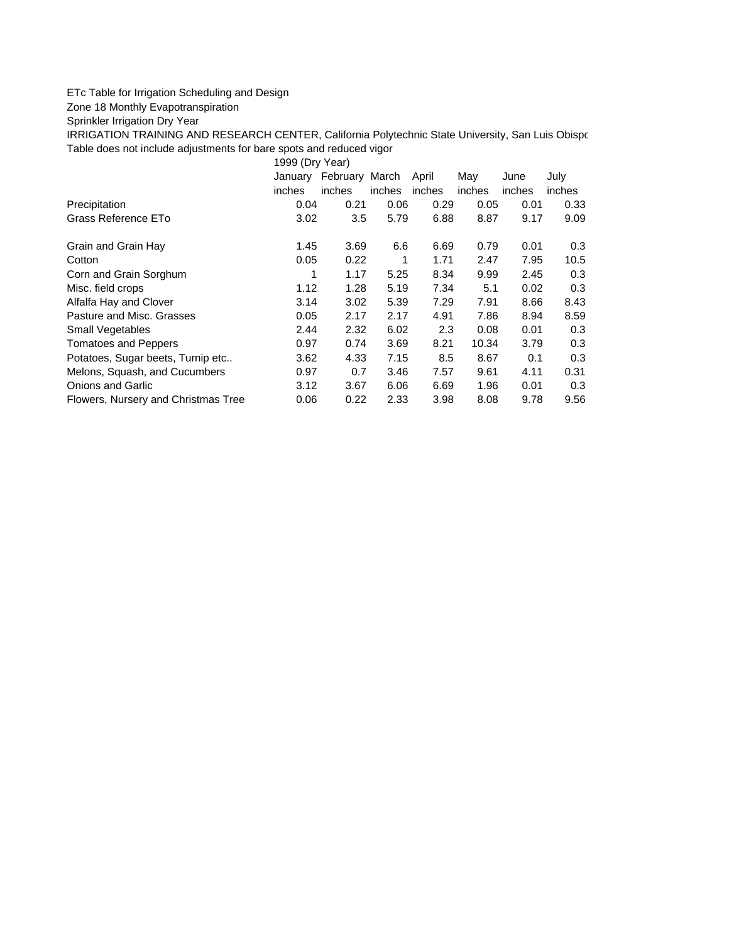## ETc Table for Irrigation Scheduling and Design

Zone 18 Monthly Evapotranspiration

Sprinkler Irrigation Dry Year

IRRIGATION TRAINING AND RESEARCH CENTER, California Polytechnic State University, San Luis Obispo Table does not include adjustments for bare spots and reduced vigor

1999 (Dry Year)

|                                     | January<br>inches | February March<br>inches | inches | April<br>inches | May<br>inches | June<br>inches | July<br>inches |
|-------------------------------------|-------------------|--------------------------|--------|-----------------|---------------|----------------|----------------|
| Precipitation                       | 0.04              | 0.21                     | 0.06   | 0.29            | 0.05          | 0.01           | 0.33           |
| Grass Reference ETo                 | 3.02              | 3.5                      | 5.79   | 6.88            | 8.87          | 9.17           | 9.09           |
| Grain and Grain Hay                 | 1.45              | 3.69                     | 6.6    | 6.69            | 0.79          | 0.01           | 0.3            |
| Cotton                              | 0.05              | 0.22                     | 1      | 1.71            | 2.47          | 7.95           | 10.5           |
| Corn and Grain Sorghum              |                   | 1.17                     | 5.25   | 8.34            | 9.99          | 2.45           | 0.3            |
| Misc. field crops                   | 1.12              | 1.28                     | 5.19   | 7.34            | 5.1           | 0.02           | 0.3            |
| Alfalfa Hay and Clover              | 3.14              | 3.02                     | 5.39   | 7.29            | 7.91          | 8.66           | 8.43           |
| Pasture and Misc. Grasses           | 0.05              | 2.17                     | 2.17   | 4.91            | 7.86          | 8.94           | 8.59           |
| <b>Small Vegetables</b>             | 2.44              | 2.32                     | 6.02   | 2.3             | 0.08          | 0.01           | 0.3            |
| <b>Tomatoes and Peppers</b>         | 0.97              | 0.74                     | 3.69   | 8.21            | 10.34         | 3.79           | 0.3            |
| Potatoes, Sugar beets, Turnip etc   | 3.62              | 4.33                     | 7.15   | 8.5             | 8.67          | 0.1            | 0.3            |
| Melons, Squash, and Cucumbers       | 0.97              | 0.7                      | 3.46   | 7.57            | 9.61          | 4.11           | 0.31           |
| Onions and Garlic                   | 3.12              | 3.67                     | 6.06   | 6.69            | 1.96          | 0.01           | 0.3            |
| Flowers, Nursery and Christmas Tree | 0.06              | 0.22                     | 2.33   | 3.98            | 8.08          | 9.78           | 9.56           |